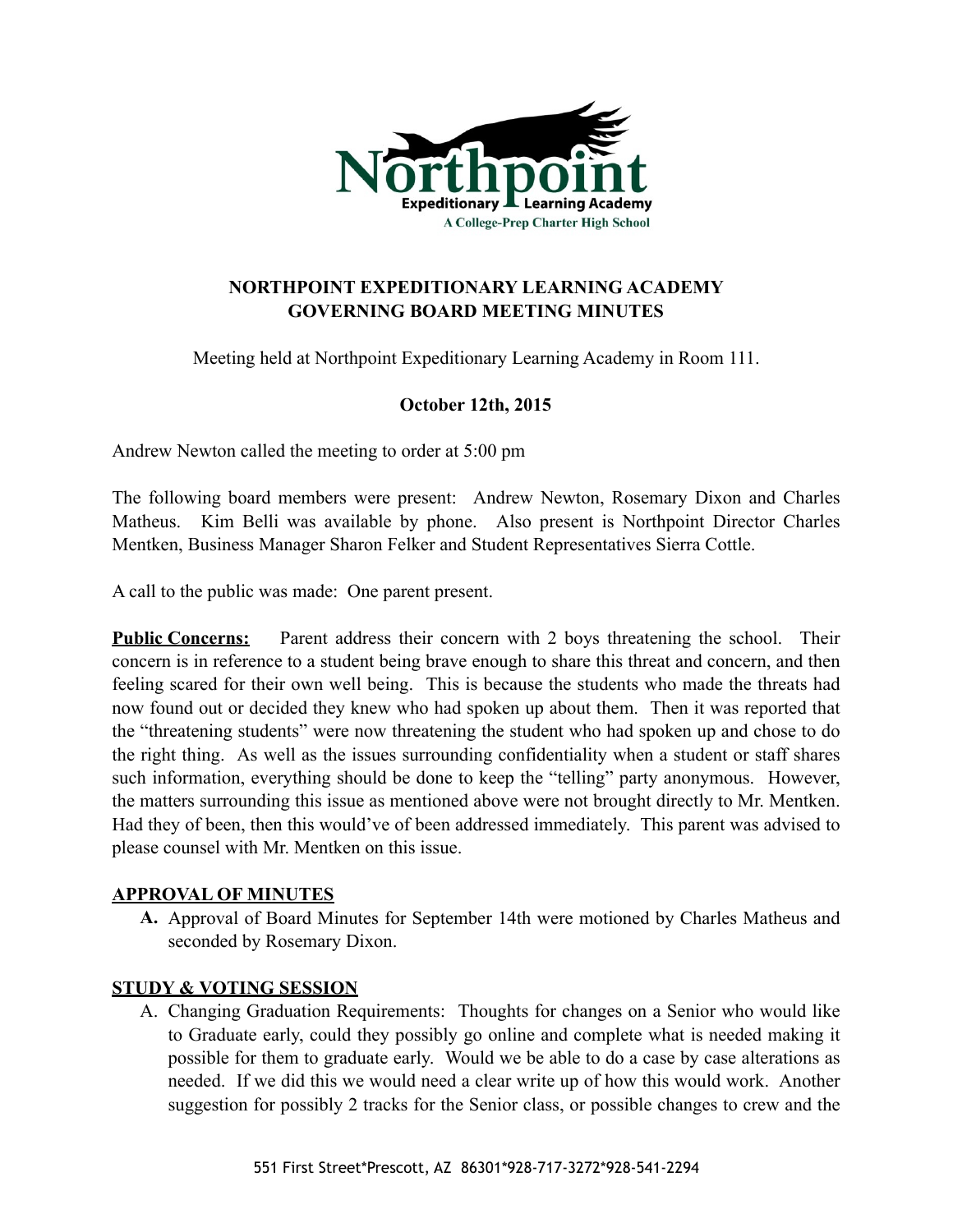

## **NORTHPOINT EXPEDITIONARY LEARNING ACADEMY GOVERNING BOARD MEETING MINUTES**

Meeting held at Northpoint Expeditionary Learning Academy in Room 111.

# **October 12th, 2015**

Andrew Newton called the meeting to order at 5:00 pm

The following board members were present: Andrew Newton, Rosemary Dixon and Charles Matheus. Kim Belli was available by phone. Also present is Northpoint Director Charles Mentken, Business Manager Sharon Felker and Student Representatives Sierra Cottle.

A call to the public was made: One parent present.

**Public Concerns:** Parent address their concern with 2 boys threatening the school. Their concern is in reference to a student being brave enough to share this threat and concern, and then feeling scared for their own well being. This is because the students who made the threats had now found out or decided they knew who had spoken up about them. Then it was reported that the "threatening students" were now threatening the student who had spoken up and chose to do the right thing. As well as the issues surrounding confidentiality when a student or staff shares such information, everything should be done to keep the "telling" party anonymous. However, the matters surrounding this issue as mentioned above were not brought directly to Mr. Mentken. Had they of been, then this would've of been addressed immediately. This parent was advised to please counsel with Mr. Mentken on this issue.

### **APPROVAL OF MINUTES**

**A.** Approval of Board Minutes for September 14th were motioned by Charles Matheus and seconded by Rosemary Dixon.

### **STUDY & VOTING SESSION**

A. Changing Graduation Requirements: Thoughts for changes on a Senior who would like to Graduate early, could they possibly go online and complete what is needed making it possible for them to graduate early. Would we be able to do a case by case alterations as needed. If we did this we would need a clear write up of how this would work. Another suggestion for possibly 2 tracks for the Senior class, or possible changes to crew and the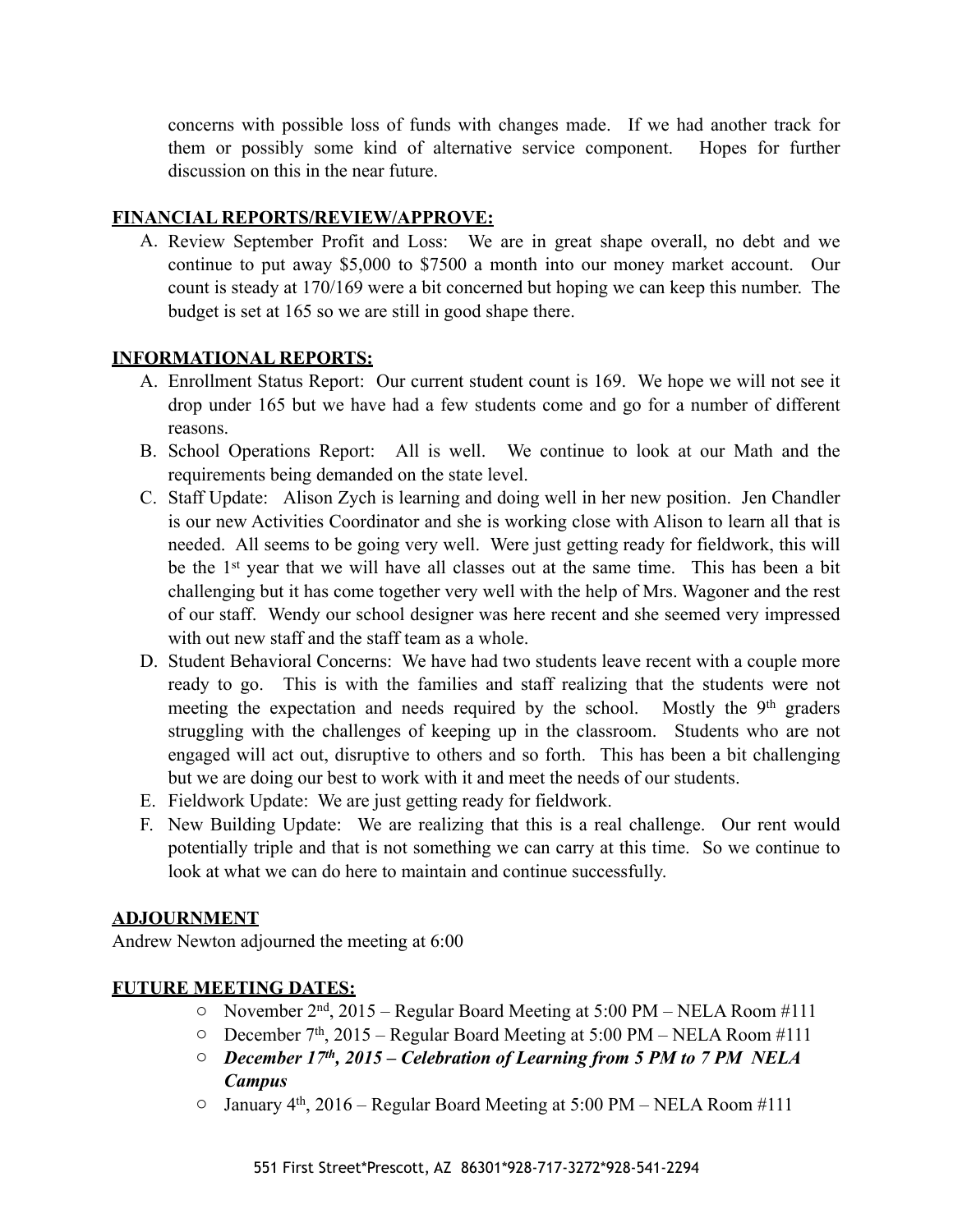concerns with possible loss of funds with changes made. If we had another track for them or possibly some kind of alternative service component. Hopes for further discussion on this in the near future.

### **FINANCIAL REPORTS/REVIEW/APPROVE:**

A. Review September Profit and Loss: We are in great shape overall, no debt and we continue to put away \$5,000 to \$7500 a month into our money market account. Our count is steady at 170/169 were a bit concerned but hoping we can keep this number. The budget is set at 165 so we are still in good shape there.

### **INFORMATIONAL REPORTS:**

- A. Enrollment Status Report: Our current student count is 169. We hope we will not see it drop under 165 but we have had a few students come and go for a number of different reasons.
- B. School Operations Report: All is well. We continue to look at our Math and the requirements being demanded on the state level.
- C. Staff Update: Alison Zych is learning and doing well in her new position. Jen Chandler is our new Activities Coordinator and she is working close with Alison to learn all that is needed. All seems to be going very well. Were just getting ready for fieldwork, this will be the 1<sup>st</sup> year that we will have all classes out at the same time. This has been a bit challenging but it has come together very well with the help of Mrs. Wagoner and the rest of our staff. Wendy our school designer was here recent and she seemed very impressed with out new staff and the staff team as a whole.
- D. Student Behavioral Concerns: We have had two students leave recent with a couple more ready to go. This is with the families and staff realizing that the students were not meeting the expectation and needs required by the school. Mostly the 9<sup>th</sup> graders struggling with the challenges of keeping up in the classroom. Students who are not engaged will act out, disruptive to others and so forth. This has been a bit challenging but we are doing our best to work with it and meet the needs of our students.
- E. Fieldwork Update: We are just getting ready for fieldwork.
- F. New Building Update: We are realizing that this is a real challenge. Our rent would potentially triple and that is not something we can carry at this time. So we continue to look at what we can do here to maintain and continue successfully.

### **ADJOURNMENT**

Andrew Newton adjourned the meeting at 6:00

### **FUTURE MEETING DATES:**

- o November 2nd, 2015 Regular Board Meeting at 5:00 PM NELA Room #111
- o December 7th, 2015 Regular Board Meeting at 5:00 PM NELA Room #111
- o *December 17th, 2015 Celebration of Learning from 5 PM to 7 PM NELA Campus*
- $\circ$  January 4<sup>th</sup>, 2016 Regular Board Meeting at 5:00 PM NELA Room #111